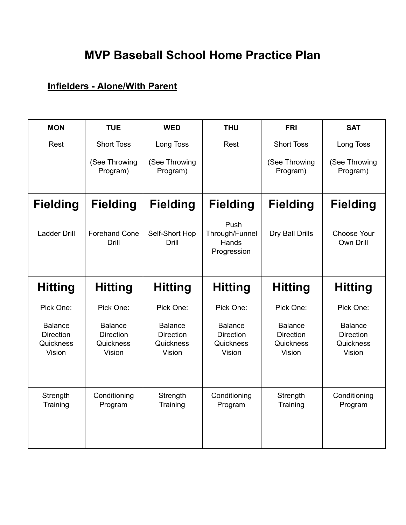## **MVP Baseball School Home Practice Plan**

### **Infielders - Alone/With Parent**

| <b>MON</b>                                                | <b>TUE</b>                                                | <b>WED</b>                                                | <b>THU</b>                                                | <b>FRI</b>                                                | <b>SAT</b>                                                |
|-----------------------------------------------------------|-----------------------------------------------------------|-----------------------------------------------------------|-----------------------------------------------------------|-----------------------------------------------------------|-----------------------------------------------------------|
| Rest                                                      | <b>Short Toss</b>                                         | Long Toss                                                 | Rest                                                      | <b>Short Toss</b>                                         | Long Toss                                                 |
|                                                           | (See Throwing<br>Program)                                 | (See Throwing<br>Program)                                 |                                                           | (See Throwing<br>Program)                                 | (See Throwing<br>Program)                                 |
| <b>Fielding</b>                                           | <b>Fielding</b>                                           | <b>Fielding</b>                                           | <b>Fielding</b>                                           | <b>Fielding</b>                                           | <b>Fielding</b>                                           |
| <b>Ladder Drill</b>                                       | <b>Forehand Cone</b><br>Drill                             | Self-Short Hop<br><b>Drill</b>                            | Push<br>Through/Funnel<br>Hands<br>Progression            | Dry Ball Drills                                           | <b>Choose Your</b><br>Own Drill                           |
| <b>Hitting</b>                                            | <b>Hitting</b>                                            | <b>Hitting</b>                                            | <b>Hitting</b>                                            | <b>Hitting</b>                                            | <b>Hitting</b>                                            |
| Pick One:                                                 | Pick One:                                                 | Pick One:                                                 | Pick One:                                                 | Pick One:                                                 | Pick One:                                                 |
| <b>Balance</b><br><b>Direction</b><br>Quickness<br>Vision | <b>Balance</b><br><b>Direction</b><br>Quickness<br>Vision | <b>Balance</b><br><b>Direction</b><br>Quickness<br>Vision | <b>Balance</b><br><b>Direction</b><br>Quickness<br>Vision | <b>Balance</b><br><b>Direction</b><br>Quickness<br>Vision | <b>Balance</b><br><b>Direction</b><br>Quickness<br>Vision |
| Strength<br>Training                                      | Conditioning<br>Program                                   | Strength<br>Training                                      | Conditioning<br>Program                                   | Strength<br>Training                                      | Conditioning<br>Program                                   |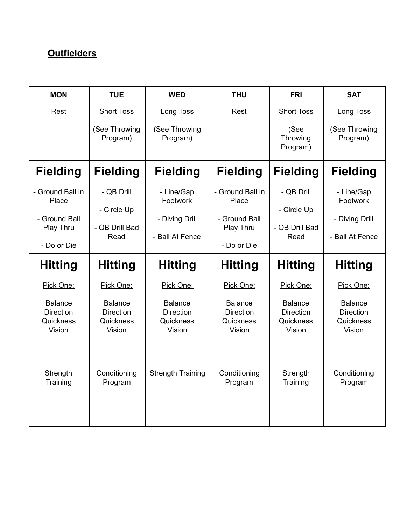## **Outfielders**

| <b>MON</b>                                                             | <b>TUE</b>                                                | <b>WED</b>                                                  | <b>THU</b>                                                             | <b>FRI</b>                                                | <b>SAT</b>                                                  |
|------------------------------------------------------------------------|-----------------------------------------------------------|-------------------------------------------------------------|------------------------------------------------------------------------|-----------------------------------------------------------|-------------------------------------------------------------|
| Rest                                                                   | <b>Short Toss</b>                                         | Long Toss                                                   | Rest                                                                   | <b>Short Toss</b>                                         | Long Toss                                                   |
|                                                                        | (See Throwing<br>Program)                                 | (See Throwing<br>Program)                                   |                                                                        | (See<br>Throwing<br>Program)                              | (See Throwing<br>Program)                                   |
| <b>Fielding</b>                                                        | <b>Fielding</b>                                           | <b>Fielding</b>                                             | <b>Fielding</b>                                                        | <b>Fielding</b>                                           | <b>Fielding</b>                                             |
| - Ground Ball in<br>Place<br>- Ground Ball<br>Play Thru<br>- Do or Die | - QB Drill<br>- Circle Up<br>- QB Drill Bad<br>Read       | - Line/Gap<br>Footwork<br>- Diving Drill<br>- Ball At Fence | - Ground Ball in<br>Place<br>- Ground Ball<br>Play Thru<br>- Do or Die | - QB Drill<br>- Circle Up<br>- QB Drill Bad<br>Read       | - Line/Gap<br>Footwork<br>- Diving Drill<br>- Ball At Fence |
| <b>Hitting</b>                                                         | <b>Hitting</b>                                            | <b>Hitting</b>                                              | <b>Hitting</b>                                                         | <b>Hitting</b>                                            | <b>Hitting</b>                                              |
| Pick One:                                                              | Pick One:                                                 | Pick One:                                                   | Pick One:                                                              | Pick One:                                                 | Pick One:                                                   |
| <b>Balance</b><br><b>Direction</b><br>Quickness<br>Vision              | <b>Balance</b><br><b>Direction</b><br>Quickness<br>Vision | <b>Balance</b><br><b>Direction</b><br>Quickness<br>Vision   | <b>Balance</b><br><b>Direction</b><br>Quickness<br>Vision              | <b>Balance</b><br><b>Direction</b><br>Quickness<br>Vision | <b>Balance</b><br><b>Direction</b><br>Quickness<br>Vision   |
| Strength<br>Training                                                   | Conditioning<br>Program                                   | <b>Strength Training</b>                                    | Conditioning<br>Program                                                | Strength<br>Training                                      | Conditioning<br>Program                                     |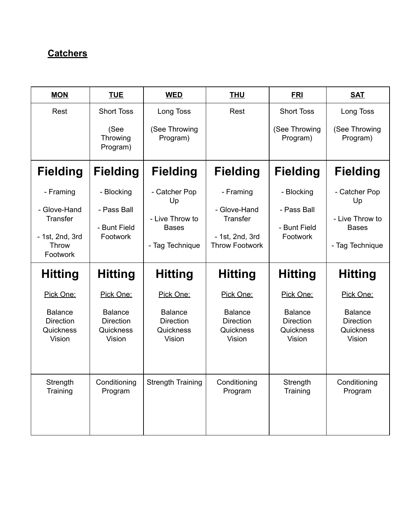## **Catchers**

| <b>MON</b>                                                | <b>TUE</b>                                                | <b>WED</b>                                                | <b>THU</b>                                                | <b>FRI</b>                                                | <b>SAT</b>                                                |
|-----------------------------------------------------------|-----------------------------------------------------------|-----------------------------------------------------------|-----------------------------------------------------------|-----------------------------------------------------------|-----------------------------------------------------------|
| Rest                                                      | <b>Short Toss</b>                                         | Long Toss                                                 | Rest                                                      | <b>Short Toss</b>                                         | Long Toss                                                 |
|                                                           | (See<br>Throwing<br>Program)                              | (See Throwing<br>Program)                                 |                                                           | (See Throwing<br>Program)                                 | (See Throwing<br>Program)                                 |
| <b>Fielding</b>                                           | <b>Fielding</b>                                           | <b>Fielding</b>                                           | <b>Fielding</b>                                           | <b>Fielding</b>                                           | <b>Fielding</b>                                           |
| - Framing                                                 | - Blocking                                                | - Catcher Pop<br>Up                                       | - Framing                                                 | - Blocking                                                | - Catcher Pop<br>Up                                       |
| - Glove-Hand<br><b>Transfer</b>                           | - Pass Ball                                               | - Live Throw to                                           | - Glove-Hand<br><b>Transfer</b>                           | - Pass Ball                                               | - Live Throw to                                           |
| - 1st, 2nd, 3rd<br>Throw<br>Footwork                      | - Bunt Field<br>Footwork                                  | <b>Bases</b><br>- Tag Technique                           | - 1st, 2nd, 3rd<br><b>Throw Footwork</b>                  | - Bunt Field<br>Footwork                                  | <b>Bases</b><br>- Tag Technique                           |
| <b>Hitting</b>                                            | <b>Hitting</b>                                            | <b>Hitting</b>                                            | <b>Hitting</b>                                            | <b>Hitting</b>                                            | <b>Hitting</b>                                            |
| Pick One:                                                 | Pick One:                                                 | Pick One:                                                 | Pick One:                                                 | Pick One:                                                 | Pick One:                                                 |
| <b>Balance</b><br><b>Direction</b><br>Quickness<br>Vision | <b>Balance</b><br><b>Direction</b><br>Quickness<br>Vision | <b>Balance</b><br><b>Direction</b><br>Quickness<br>Vision | <b>Balance</b><br><b>Direction</b><br>Quickness<br>Vision | <b>Balance</b><br><b>Direction</b><br>Quickness<br>Vision | <b>Balance</b><br><b>Direction</b><br>Quickness<br>Vision |
| Strength<br>Training                                      | Conditioning<br>Program                                   | <b>Strength Training</b>                                  | Conditioning<br>Program                                   | Strength<br>Training                                      | Conditioning<br>Program                                   |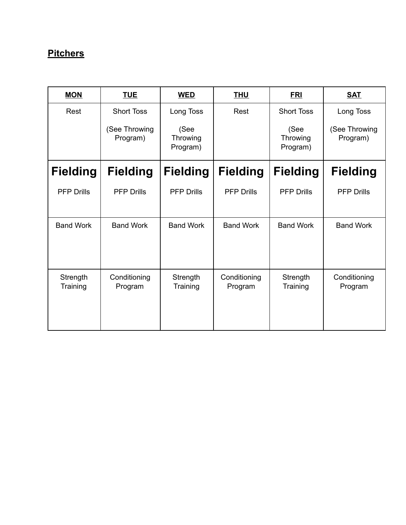## **Pitchers**

| <b>MON</b>           | <b>TUE</b>                | <b>WED</b>                   | <b>THU</b>              | <b>FRI</b>                   | <b>SAT</b>                |
|----------------------|---------------------------|------------------------------|-------------------------|------------------------------|---------------------------|
| Rest                 | <b>Short Toss</b>         | Long Toss                    | Rest                    | <b>Short Toss</b>            | Long Toss                 |
|                      | (See Throwing<br>Program) | (See<br>Throwing<br>Program) |                         | (See<br>Throwing<br>Program) | (See Throwing<br>Program) |
| <b>Fielding</b>      | <b>Fielding</b>           | <b>Fielding</b>              | <b>Fielding</b>         | <b>Fielding</b>              | <b>Fielding</b>           |
| <b>PFP Drills</b>    | <b>PFP Drills</b>         | <b>PFP Drills</b>            | <b>PFP Drills</b>       | <b>PFP Drills</b>            | <b>PFP Drills</b>         |
| <b>Band Work</b>     | <b>Band Work</b>          | <b>Band Work</b>             | <b>Band Work</b>        | <b>Band Work</b>             | <b>Band Work</b>          |
| Strength<br>Training | Conditioning<br>Program   | Strength<br>Training         | Conditioning<br>Program | Strength<br>Training         | Conditioning<br>Program   |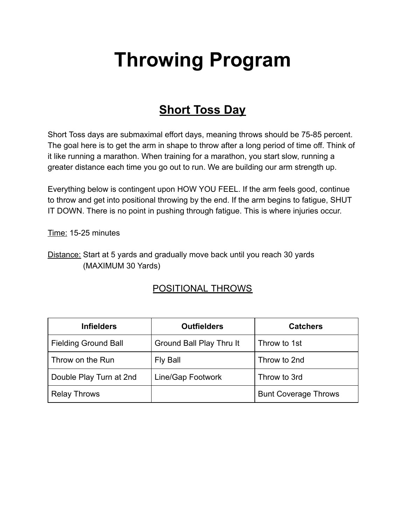# **Throwing Program**

# **Short Toss Day**

Short Toss days are submaximal effort days, meaning throws should be 75-85 percent. The goal here is to get the arm in shape to throw after a long period of time off. Think of it like running a marathon. When training for a marathon, you start slow, running a greater distance each time you go out to run. We are building our arm strength up.

Everything below is contingent upon HOW YOU FEEL. If the arm feels good, continue to throw and get into positional throwing by the end. If the arm begins to fatigue, SHUT IT DOWN. There is no point in pushing through fatigue. This is where injuries occur.

Time: 15-25 minutes

Distance: Start at 5 yards and gradually move back until you reach 30 yards (MAXIMUM 30 Yards)

#### POSITIONAL THROWS

| <b>Infielders</b>           | <b>Outfielders</b>       | <b>Catchers</b>             |
|-----------------------------|--------------------------|-----------------------------|
| <b>Fielding Ground Ball</b> | Ground Ball Play Thru It | Throw to 1st                |
| Throw on the Run            | Fly Ball                 | Throw to 2nd                |
| Double Play Turn at 2nd     | Line/Gap Footwork        | Throw to 3rd                |
| <b>Relay Throws</b>         |                          | <b>Bunt Coverage Throws</b> |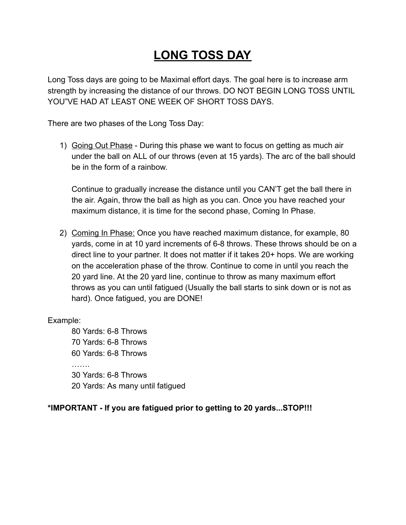# **LONG TOSS DAY**

Long Toss days are going to be Maximal effort days. The goal here is to increase arm strength by increasing the distance of our throws. DO NOT BEGIN LONG TOSS UNTIL YOU"VE HAD AT LEAST ONE WEEK OF SHORT TOSS DAYS.

There are two phases of the Long Toss Day:

1) Going Out Phase - During this phase we want to focus on getting as much air under the ball on ALL of our throws (even at 15 yards). The arc of the ball should be in the form of a rainbow.

Continue to gradually increase the distance until you CAN'T get the ball there in the air. Again, throw the ball as high as you can. Once you have reached your maximum distance, it is time for the second phase, Coming In Phase.

2) Coming In Phase: Once you have reached maximum distance, for example, 80 yards, come in at 10 yard increments of 6-8 throws. These throws should be on a direct line to your partner. It does not matter if it takes 20+ hops. We are working on the acceleration phase of the throw. Continue to come in until you reach the 20 yard line. At the 20 yard line, continue to throw as many maximum effort throws as you can until fatigued (Usually the ball starts to sink down or is not as hard). Once fatigued, you are DONE!

Example:

80 Yards: 6-8 Throws 70 Yards: 6-8 Throws 60 Yards: 6-8 Throws . . . . . . . 30 Yards: 6-8 Throws 20 Yards: As many until fatigued

#### **\*IMPORTANT - If you are fatigued prior to getting to 20 yards...STOP!!!**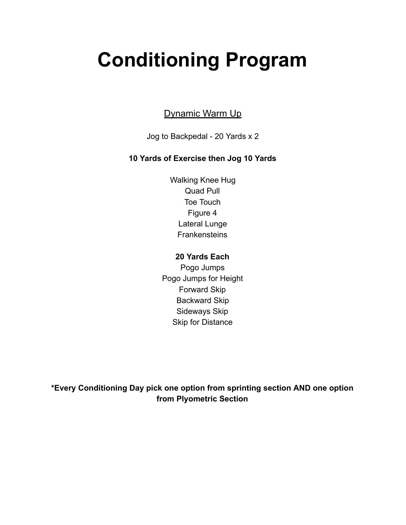# **Conditioning Program**

#### Dynamic Warm Up

Jog to Backpedal - 20 Yards x 2

#### **10 Yards of Exercise then Jog 10 Yards**

Walking Knee Hug Quad Pull Toe Touch Figure 4 Lateral Lunge **Frankensteins** 

#### **20 Yards Each**

Pogo Jumps Pogo Jumps for Height Forward Skip Backward Skip Sideways Skip Skip for Distance

**\*Every Conditioning Day pick one option from sprinting section AND one option from Plyometric Section**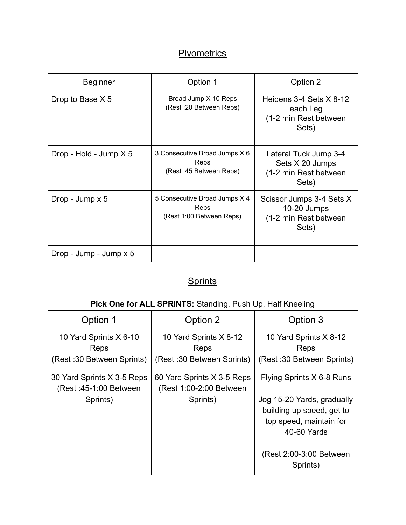## **Plyometrics**

| Beginner                 | Option 1                                                          | Option 2                                                                    |
|--------------------------|-------------------------------------------------------------------|-----------------------------------------------------------------------------|
| Drop to Base X 5         | Broad Jump X 10 Reps<br>(Rest : 20 Between Reps)                  | Heidens 3-4 Sets $X$ 8-12<br>each Leg<br>(1-2 min Rest between<br>Sets)     |
| Drop - Hold - Jump $X$ 5 | 3 Consecutive Broad Jumps X 6<br>Reps<br>(Rest: 45 Between Reps)  | Lateral Tuck Jump 3-4<br>Sets X 20 Jumps<br>(1-2 min Rest between<br>Sets)  |
| Drop - Jump x 5          | 5 Consecutive Broad Jumps X 4<br>Reps<br>(Rest 1:00 Between Reps) | Scissor Jumps 3-4 Sets X<br>$10-20$ Jumps<br>(1-2 min Rest between<br>Sets) |
| Drop - Jump - Jump x 5   |                                                                   |                                                                             |

## **Sprints**

### Pick One for ALL SPRINTS: Standing, Push Up, Half Kneeling

| Option 1                                                          | Option 2                                                           | Option 3                                                                                                                                                               |  |
|-------------------------------------------------------------------|--------------------------------------------------------------------|------------------------------------------------------------------------------------------------------------------------------------------------------------------------|--|
| 10 Yard Sprints X 6-10<br>Reps<br>(Rest: 30 Between Sprints)      | 10 Yard Sprints X 8-12<br>Reps<br>(Rest: 30 Between Sprints)       | 10 Yard Sprints X 8-12<br>Reps<br>(Rest: 30 Between Sprints)                                                                                                           |  |
| 30 Yard Sprints X 3-5 Reps<br>(Rest: 45-1:00 Between)<br>Sprints) | 60 Yard Sprints X 3-5 Reps<br>(Rest 1:00-2:00 Between)<br>Sprints) | Flying Sprints X 6-8 Runs<br>Jog 15-20 Yards, gradually<br>building up speed, get to<br>top speed, maintain for<br>40-60 Yards<br>(Rest 2:00-3:00 Between)<br>Sprints) |  |